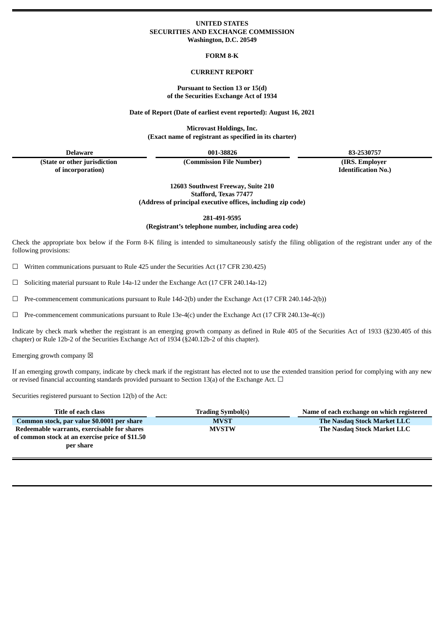## **UNITED STATES SECURITIES AND EXCHANGE COMMISSION Washington, D.C. 20549**

**FORM 8-K**

## **CURRENT REPORT**

#### **Pursuant to Section 13 or 15(d) of the Securities Exchange Act of 1934**

**Date of Report (Date of earliest event reported): August 16, 2021**

**Microvast Holdings, Inc. (Exact name of registrant as specified in its charter)**

**(State or other jurisdiction of incorporation)**

**(Commission File Number) (IRS. Employer**

**Delaware 001-38826 83-2530757**

**Identification No.)**

**12603 Southwest Freeway, Suite 210 Stafford, Texas 77477 (Address of principal executive offices, including zip code)**

**281-491-9595**

**(Registrant's telephone number, including area code)**

Check the appropriate box below if the Form 8-K filing is intended to simultaneously satisfy the filing obligation of the registrant under any of the following provisions:

 $\Box$  Written communications pursuant to Rule 425 under the Securities Act (17 CFR 230.425)

 $\Box$  Soliciting material pursuant to Rule 14a-12 under the Exchange Act (17 CFR 240.14a-12)

 $\Box$  Pre-commencement communications pursuant to Rule 14d-2(b) under the Exchange Act (17 CFR 240.14d-2(b))

☐ Pre-commencement communications pursuant to Rule 13e-4(c) under the Exchange Act (17 CFR 240.13e-4(c))

Indicate by check mark whether the registrant is an emerging growth company as defined in Rule 405 of the Securities Act of 1933 (§230.405 of this chapter) or Rule 12b-2 of the Securities Exchange Act of 1934 (§240.12b-2 of this chapter).

Emerging growth company  $\boxtimes$ 

If an emerging growth company, indicate by check mark if the registrant has elected not to use the extended transition period for complying with any new or revised financial accounting standards provided pursuant to Section 13(a) of the Exchange Act.  $\Box$ 

Securities registered pursuant to Section 12(b) of the Act:

| Title of each class                                                                                         | <b>Trading Symbol(s)</b> | Name of each exchange on which registered |  |  |  |  |  |
|-------------------------------------------------------------------------------------------------------------|--------------------------|-------------------------------------------|--|--|--|--|--|
| Common stock, par value \$0.0001 per share                                                                  | <b>MVST</b>              | The Nasdag Stock Market LLC               |  |  |  |  |  |
| Redeemable warrants, exercisable for shares<br>of common stock at an exercise price of \$11.50<br>per share | <b>MVSTW</b>             | The Nasdag Stock Market LLC               |  |  |  |  |  |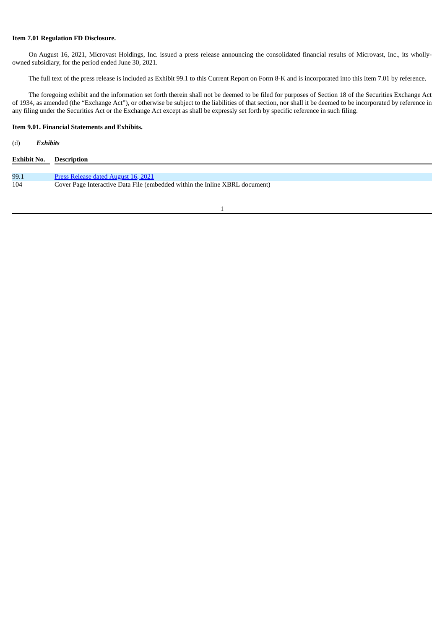## **Item 7.01 Regulation FD Disclosure.**

On August 16, 2021, Microvast Holdings, Inc. issued a press release announcing the consolidated financial results of Microvast, Inc., its whollyowned subsidiary, for the period ended June 30, 2021.

The full text of the press release is included as Exhibit 99.1 to this Current Report on Form 8-K and is incorporated into this Item 7.01 by reference.

The foregoing exhibit and the information set forth therein shall not be deemed to be filed for purposes of Section 18 of the Securities Exchange Act of 1934, as amended (the "Exchange Act"), or otherwise be subject to the liabilities of that section, nor shall it be deemed to be incorporated by reference in any filing under the Securities Act or the Exchange Act except as shall be expressly set forth by specific reference in such filing.

## **Item 9.01. Financial Statements and Exhibits.**

# (d) *Exhibits*

| <b>Exhibit No. Description</b> |                                                                             |
|--------------------------------|-----------------------------------------------------------------------------|
|                                |                                                                             |
| 99.1                           | <b>Press Release dated August 16, 2021</b>                                  |
| 104                            | Cover Page Interactive Data File (embedded within the Inline XBRL document) |

1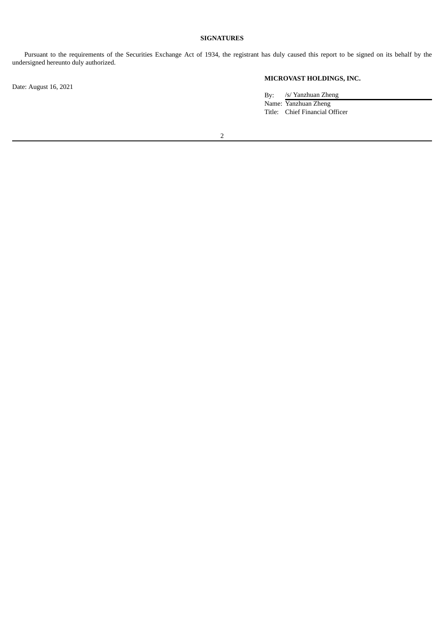## **SIGNATURES**

Pursuant to the requirements of the Securities Exchange Act of 1934, the registrant has duly caused this report to be signed on its behalf by the undersigned hereunto duly authorized.

Date: August 16, 2021

## **MICROVAST HOLDINGS, INC.**

By: /s/ Yanzhuan Zheng Name: Yanzhuan Zheng Title: Chief Financial Officer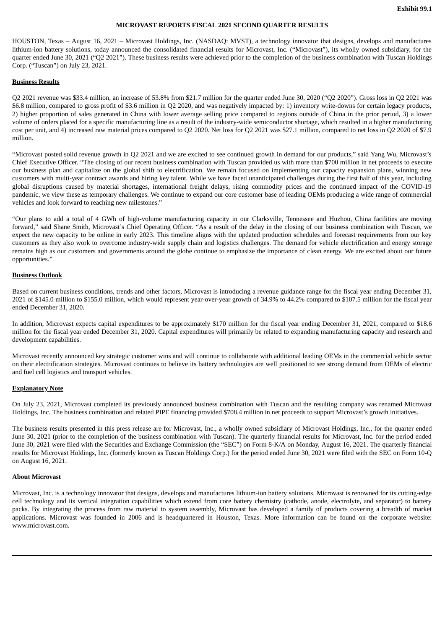#### **MICROVAST REPORTS FISCAL 2021 SECOND QUARTER RESULTS**

<span id="page-3-0"></span>HOUSTON, Texas – August 16, 2021 – Microvast Holdings, Inc. (NASDAQ: MVST), a technology innovator that designs, develops and manufactures lithium-ion battery solutions, today announced the consolidated financial results for Microvast, Inc. ("Microvast"), its wholly owned subsidiary, for the quarter ended June 30, 2021 ("Q2 2021"). These business results were achieved prior to the completion of the business combination with Tuscan Holdings Corp. ("Tuscan") on July 23, 2021.

## **Business Results**

Q2 2021 revenue was \$33.4 million, an increase of 53.8% from \$21.7 million for the quarter ended June 30, 2020 ("Q2 2020"). Gross loss in Q2 2021 was \$6.8 million, compared to gross profit of \$3.6 million in Q2 2020, and was negatively impacted by: 1) inventory write-downs for certain legacy products, 2) higher proportion of sales generated in China with lower average selling price compared to regions outside of China in the prior period, 3) a lower volume of orders placed for a specific manufacturing line as a result of the industry-wide semiconductor shortage, which resulted in a higher manufacturing cost per unit, and 4) increased raw material prices compared to Q2 2020. Net loss for Q2 2021 was \$27.1 million, compared to net loss in Q2 2020 of \$7.9 million.

"Microvast posted solid revenue growth in Q2 2021 and we are excited to see continued growth in demand for our products," said Yang Wu, Microvast's Chief Executive Officer. "The closing of our recent business combination with Tuscan provided us with more than \$700 million in net proceeds to execute our business plan and capitalize on the global shift to electrification. We remain focused on implementing our capacity expansion plans, winning new customers with multi-year contract awards and hiring key talent. While we have faced unanticipated challenges during the first half of this year, including global disruptions caused by material shortages, international freight delays, rising commodity prices and the continued impact of the COVID-19 pandemic, we view these as temporary challenges. We continue to expand our core customer base of leading OEMs producing a wide range of commercial vehicles and look forward to reaching new milestones."

"Our plans to add a total of 4 GWh of high-volume manufacturing capacity in our Clarksville, Tennessee and Huzhou, China facilities are moving forward," said Shane Smith, Microvast's Chief Operating Officer. "As a result of the delay in the closing of our business combination with Tuscan, we expect the new capacity to be online in early 2023. This timeline aligns with the updated production schedules and forecast requirements from our key customers as they also work to overcome industry-wide supply chain and logistics challenges. The demand for vehicle electrification and energy storage remains high as our customers and governments around the globe continue to emphasize the importance of clean energy. We are excited about our future opportunities."

## **Business Outlook**

Based on current business conditions, trends and other factors, Microvast is introducing a revenue guidance range for the fiscal year ending December 31, 2021 of \$145.0 million to \$155.0 million, which would represent year-over-year growth of 34.9% to 44.2% compared to \$107.5 million for the fiscal year ended December 31, 2020.

In addition, Microvast expects capital expenditures to be approximately \$170 million for the fiscal year ending December 31, 2021, compared to \$18.6 million for the fiscal year ended December 31, 2020. Capital expenditures will primarily be related to expanding manufacturing capacity and research and development capabilities.

Microvast recently announced key strategic customer wins and will continue to collaborate with additional leading OEMs in the commercial vehicle sector on their electrification strategies. Microvast continues to believe its battery technologies are well positioned to see strong demand from OEMs of electric and fuel cell logistics and transport vehicles.

## **Explanatory Note**

On July 23, 2021, Microvast completed its previously announced business combination with Tuscan and the resulting company was renamed Microvast Holdings, Inc. The business combination and related PIPE financing provided \$708.4 million in net proceeds to support Microvast's growth initiatives.

The business results presented in this press release are for Microvast, Inc., a wholly owned subsidiary of Microvast Holdings, Inc., for the quarter ended June 30, 2021 (prior to the completion of the business combination with Tuscan). The quarterly financial results for Microvast, Inc. for the period ended June 30, 2021 were filed with the Securities and Exchange Commission (the "SEC") on Form 8-K/A on Monday, August 16, 2021. The quarterly financial results for Microvast Holdings, Inc. (formerly known as Tuscan Holdings Corp.) for the period ended June 30, 2021 were filed with the SEC on Form 10-Q on August 16, 2021.

## **About Microvast**

Microvast, Inc. is a technology innovator that designs, develops and manufactures lithium-ion battery solutions. Microvast is renowned for its cutting-edge cell technology and its vertical integration capabilities which extend from core battery chemistry (cathode, anode, electrolyte, and separator) to battery packs. By integrating the process from raw material to system assembly, Microvast has developed a family of products covering a breadth of market applications. Microvast was founded in 2006 and is headquartered in Houston, Texas. More information can be found on the corporate website: www.microvast.com.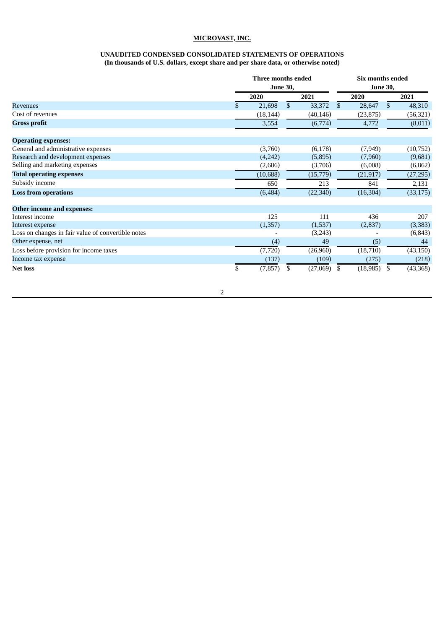## **MICROVAST, INC.**

#### **UNAUDITED CONDENSED CONSOLIDATED STATEMENTS OF OPERATIONS (In thousands of U.S. dollars, except share and per share data, or otherwise noted)**

|                                                    | Three months ended<br><b>June 30,</b> |              |           | Six months ended<br><b>June 30,</b> |           |    |           |
|----------------------------------------------------|---------------------------------------|--------------|-----------|-------------------------------------|-----------|----|-----------|
|                                                    | 2020                                  |              | 2021      |                                     | 2020      |    | 2021      |
| <b>Revenues</b>                                    | 21,698                                | $\mathbb{S}$ | 33,372    | \$                                  | 28,647    | \$ | 48,310    |
| Cost of revenues                                   | (18, 144)                             |              | (40, 146) |                                     | (23, 875) |    | (56, 321) |
| <b>Gross profit</b>                                | 3,554                                 |              | (6,774)   |                                     | 4,772     |    | (8,011)   |
| <b>Operating expenses:</b>                         |                                       |              |           |                                     |           |    |           |
| General and administrative expenses                | (3,760)                               |              | (6,178)   |                                     | (7,949)   |    | (10,752)  |
| Research and development expenses                  | (4,242)                               |              | (5,895)   |                                     | (7,960)   |    | (9,681)   |
| Selling and marketing expenses                     | (2,686)                               |              | (3,706)   |                                     | (6,008)   |    | (6, 862)  |
| <b>Total operating expenses</b>                    | (10, 688)                             |              | (15,779)  |                                     | (21, 917) |    | (27, 295) |
| Subsidy income                                     | 650                                   |              | 213       |                                     | 841       |    | 2,131     |
| <b>Loss from operations</b>                        | (6, 484)                              |              | (22, 340) |                                     | (16, 304) |    | (33, 175) |
| Other income and expenses:                         |                                       |              |           |                                     |           |    |           |
| Interest income                                    | 125                                   |              | 111       |                                     | 436       |    | 207       |
| Interest expense                                   | (1,357)                               |              | (1,537)   |                                     | (2,837)   |    | (3,383)   |
| Loss on changes in fair value of convertible notes |                                       |              | (3,243)   |                                     |           |    | (6, 843)  |
| Other expense, net                                 | (4)                                   |              | 49        |                                     | (5)       |    | 44        |
| Loss before provision for income taxes             | (7, 720)                              |              | (26,960)  |                                     | (18, 710) |    | (43, 150) |
| Income tax expense                                 | (137)                                 |              | (109)     |                                     | (275)     |    | (218)     |
| <b>Net loss</b>                                    | \$<br>(7, 857)                        | \$           | (27,069)  | \$                                  | (18, 985) | \$ | (43,368)  |

2